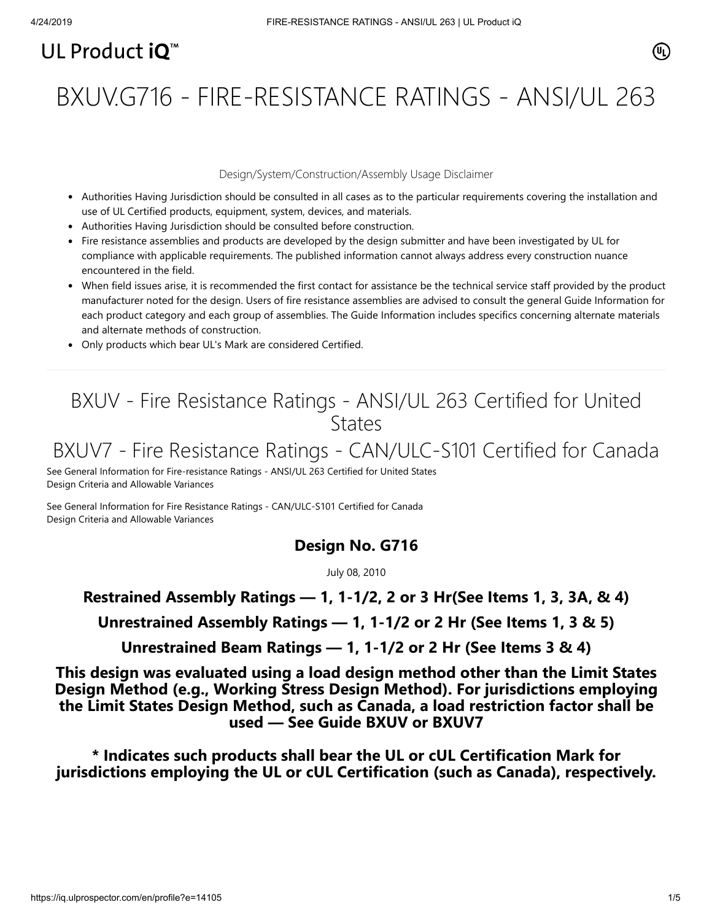# UL Product  $i\mathbf{O}^m$

BXUV.G716 - FIRE-RESISTANCE RATINGS - ANSI/UL 263

### Design/System/Construction/Assembly Usage Disclaimer

- Authorities Having Jurisdiction should be consulted in all cases as to the particular requirements covering the installation and use of UL Certified products, equipment, system, devices, and materials.
- Authorities Having Jurisdiction should be consulted before construction.
- Fire resistance assemblies and products are developed by the design submitter and have been investigated by UL for compliance with applicable requirements. The published information cannot always address every construction nuance encountered in the field.
- When field issues arise, it is recommended the first contact for assistance be the technical service staff provided by the product manufacturer noted for the design. Users of fire resistance assemblies are advised to consult the general Guide Information for each product category and each group of assemblies. The Guide Information includes specifics concerning alternate materials and alternate methods of construction.
- Only products which bear UL's Mark are considered Certified.

# BXUV - Fire Resistance Ratings - ANSI/UL 263 Certified for United **States**

# BXUV7 - Fire Resistance Ratings - CAN/ULC-S101 Certified for Canada

[See General Information for Fire-resistance Ratings - ANSI/UL 263 Certified for United States](https://iq.ulprospector.com/cgi-bin/XYV/template/LISEXT/1FRAME/showpage.html?name=BXUV.GuideInfo&ccnshorttitle=Fire-resistance+Ratings+-+ANSI/UL+263&objid=1074327030&cfgid=1073741824&version=versionless&parent_id=1073984818&sequence=1) Design Criteria and Allowable Variances

[See General Information for Fire Resistance Ratings - CAN/ULC-S101 Certified for Canada](https://iq.ulprospector.com/cgi-bin/XYV/template/LISEXT/1FRAME/showpage.html?name=BXUV7.GuideInfo&ccnshorttitle=Fire+Resistance+Ratings+-+CAN/ULC-S101+Certified+for+Canada&objid=1074205658&cfgid=1073741824&version=versionless&parent_id=1073984820&sequence=1) Design Criteria and Allowable Variances

## **Design No. G716**

July 08, 2010

## **Restrained Assembly Ratings — 1, 1-1/2, 2 or 3 Hr(See Items 1, 3, 3A, & 4)**

**Unrestrained Assembly Ratings — 1, 1-1/2 or 2 Hr (See Items 1, 3 & 5)**

**Unrestrained Beam Ratings — 1, 1-1/2 or 2 Hr (See Items 3 & 4)**

**This design was evaluated using a load design method other than the Limit States Design Method (e.g., Working Stress Design Method). For jurisdictions employing the Limit States Design Method, such as Canada, a load restriction factor shall be used — See Guide [BXUV](http://database.ul.com/cgi-bin/XYV/template/LISEXT/1FRAME/showpage.html?name=BXUV.GuideInfo&ccnshorttitle=Fire-resistance+Ratings+-+ANSI/UL+263&objid=1074327030&cfgid=1073741824&version=versionless&parent_id=1073984818&sequence=1) or [BXUV7](http://database.ul.com/cgi-bin/XYV/template/LISEXT/1FRAME/showpage.html?name=BXUV7.GuideInfo&ccnshorttitle=Fire+Resistance+Ratings+-+CAN/ULC-S101M+Certified+for+Canada&objid=1074205658&cfgid=1073741824&version=versionless&parent_id=1073984820&sequence=1)**

**\* Indicates such products shall bear the UL or cUL Certification Mark for jurisdictions employing the UL or cUL Certification (such as Canada), respectively.**

⁄ඔ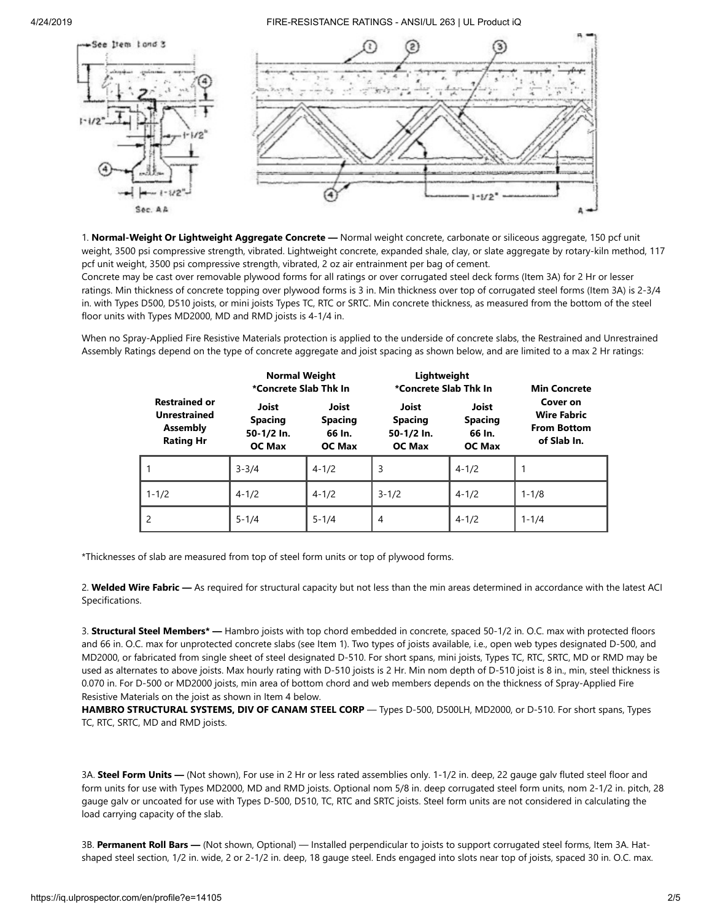

1. **Normal-Weight Or Lightweight Aggregate Concrete —** Normal weight concrete, carbonate or siliceous aggregate, 150 pcf unit weight, 3500 psi compressive strength, vibrated. Lightweight concrete, expanded shale, clay, or slate aggregate by rotary-kiln method, 117 pcf unit weight, 3500 psi compressive strength, vibrated, 2 oz air entrainment per bag of cement.

Concrete may be cast over removable plywood forms for all ratings or over corrugated steel deck forms (Item 3A) for 2 Hr or lesser ratings. Min thickness of concrete topping over plywood forms is 3 in. Min thickness over top of corrugated steel forms (Item 3A) is 2-3/4 in. with Types D500, D510 joists, or mini joists Types TC, RTC or SRTC. Min concrete thickness, as measured from the bottom of the steel floor units with Types MD2000, MD and RMD joists is 4-1/4 in.

When no Spray-Applied Fire Resistive Materials protection is applied to the underside of concrete slabs, the Restrained and Unrestrained Assembly Ratings depend on the type of concrete aggregate and joist spacing as shown below, and are limited to a max 2 Hr ratings:

|                                                                                    | <b>Normal Weight</b><br>*Concrete Slab Thk In          |                                                    | Lightweight<br>*Concrete Slab Thk In                          |                                                    | <b>Min Concrete</b>                                                 |
|------------------------------------------------------------------------------------|--------------------------------------------------------|----------------------------------------------------|---------------------------------------------------------------|----------------------------------------------------|---------------------------------------------------------------------|
| <b>Restrained or</b><br><b>Unrestrained</b><br><b>Assembly</b><br><b>Rating Hr</b> | Joist<br><b>Spacing</b><br>50-1/2 In.<br><b>OC Max</b> | Joist<br><b>Spacing</b><br>66 In.<br><b>OC Max</b> | <b>Joist</b><br><b>Spacing</b><br>50-1/2 In.<br><b>OC Max</b> | Joist<br><b>Spacing</b><br>66 In.<br><b>OC Max</b> | Cover on<br><b>Wire Fabric</b><br><b>From Bottom</b><br>of Slab In. |
|                                                                                    | $3 - 3/4$                                              | $4 - 1/2$                                          | 3                                                             | $4 - 1/2$                                          |                                                                     |
| $1 - 1/2$                                                                          | $4 - 1/2$                                              | $4 - 1/2$                                          | $3 - 1/2$                                                     | $4 - 1/2$                                          | $1 - 1/8$                                                           |
|                                                                                    | $5 - 1/4$                                              | $5 - 1/4$                                          | 4                                                             | $4 - 1/2$                                          | $1 - 1/4$                                                           |

\*Thicknesses of slab are measured from top of steel form units or top of plywood forms.

2. **Welded Wire Fabric —** As required for structural capacity but not less than the min areas determined in accordance with the latest ACI Specifications.

3. **Structural Steel Members\* —** Hambro joists with top chord embedded in concrete, spaced 50-1/2 in. O.C. max with protected floors and 66 in. O.C. max for unprotected concrete slabs (see Item 1). Two types of joists available, i.e., open web types designated D-500, and MD2000, or fabricated from single sheet of steel designated D-510. For short spans, mini joists, Types TC, RTC, SRTC, MD or RMD may be used as alternates to above joists. Max hourly rating with D-510 joists is 2 Hr. Min nom depth of D-510 joist is 8 in., min, steel thickness is 0.070 in. For D-500 or MD2000 joists, min area of bottom chord and web members depends on the thickness of Spray-Applied Fire Resistive Materials on the joist as shown in Item 4 below.

**HAMBRO STRUCTURAL SYSTEMS, DIV OF CANAM STEEL CORP** — Types D-500, D500LH, MD2000, or D-510. For short spans, Types TC, RTC, SRTC, MD and RMD joists.

3A. **Steel Form Units —** (Not shown), For use in 2 Hr or less rated assemblies only. 1-1/2 in. deep, 22 gauge galv fluted steel floor and form units for use with Types MD2000, MD and RMD joists. Optional nom 5/8 in. deep corrugated steel form units, nom 2-1/2 in. pitch, 28 gauge galv or uncoated for use with Types D-500, D510, TC, RTC and SRTC joists. Steel form units are not considered in calculating the load carrying capacity of the slab.

3B. **Permanent Roll Bars —** (Not shown, Optional) — Installed perpendicular to joists to support corrugated steel forms, Item 3A. Hatshaped steel section, 1/2 in. wide, 2 or 2-1/2 in. deep, 18 gauge steel. Ends engaged into slots near top of joists, spaced 30 in. O.C. max.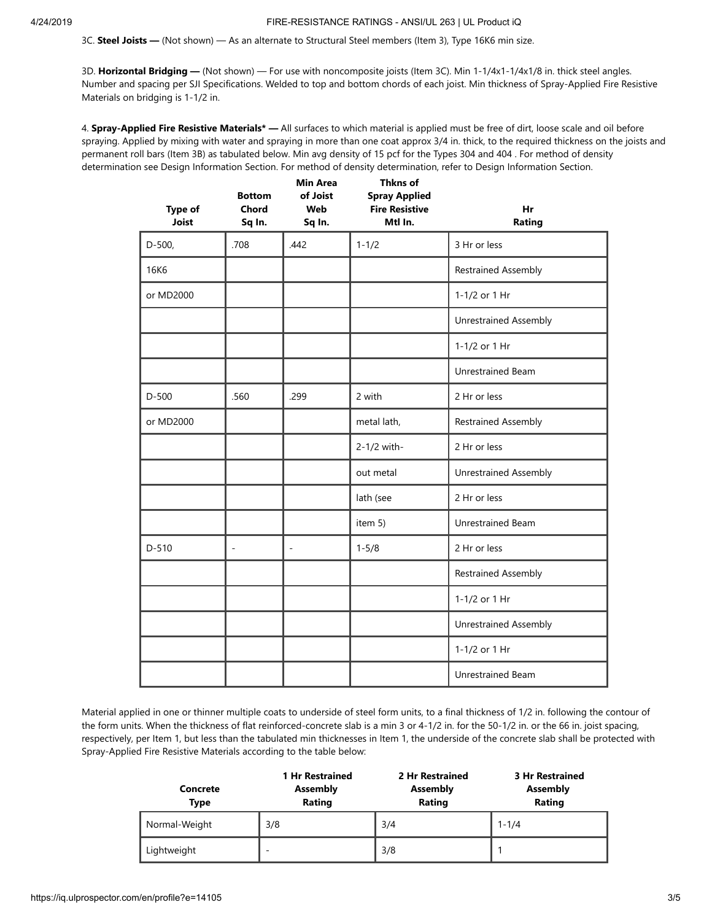3C. **Steel Joists —** (Not shown) — As an alternate to Structural Steel members (Item 3), Type 16K6 min size.

3D. **Horizontal Bridging —** (Not shown) — For use with noncomposite joists (Item 3C). Min 1-1/4x1-1/4x1/8 in. thick steel angles. Number and spacing per SJI Specifications. Welded to top and bottom chords of each joist. Min thickness of Spray-Applied Fire Resistive Materials on bridging is 1-1/2 in.

4. **Spray-Applied Fire Resistive Materials\* —** All surfaces to which material is applied must be free of dirt, loose scale and oil before spraying. Applied by mixing with water and spraying in more than one coat approx 3/4 in. thick, to the required thickness on the joists and permanent roll bars (Item 3B) as tabulated below. Min avg density of 15 pcf for the Types 304 and 404 . For method of density determination see Design Information Section. For method of density determination, refer to Design Information Section.

| <b>Type of</b><br><b>Joist</b> | <b>Bottom</b><br><b>Chord</b><br>Sq In. | <b>Min Area</b><br>of Joist<br>Web<br>Sq In. | Thkns of<br><b>Spray Applied</b><br><b>Fire Resistive</b><br>Mtl In. | Hr<br>Rating                 |
|--------------------------------|-----------------------------------------|----------------------------------------------|----------------------------------------------------------------------|------------------------------|
| $D-500,$                       | .708                                    | .442                                         | $1 - 1/2$                                                            | 3 Hr or less                 |
| <b>16K6</b>                    |                                         |                                              |                                                                      | <b>Restrained Assembly</b>   |
| or MD2000                      |                                         |                                              |                                                                      | 1-1/2 or 1 Hr                |
|                                |                                         |                                              |                                                                      | <b>Unrestrained Assembly</b> |
|                                |                                         |                                              |                                                                      | 1-1/2 or 1 Hr                |
|                                |                                         |                                              |                                                                      | Unrestrained Beam            |
| $D-500$                        | .560                                    | .299                                         | 2 with                                                               | 2 Hr or less                 |
| or MD2000                      |                                         |                                              | metal lath,                                                          | <b>Restrained Assembly</b>   |
|                                |                                         |                                              | 2-1/2 with-                                                          | 2 Hr or less                 |
|                                |                                         |                                              | out metal                                                            | <b>Unrestrained Assembly</b> |
|                                |                                         |                                              | lath (see                                                            | 2 Hr or less                 |
|                                |                                         |                                              | item 5)                                                              | Unrestrained Beam            |
| $D-510$                        | $\overline{\phantom{a}}$                | ÷.                                           | $1 - 5/8$                                                            | 2 Hr or less                 |
|                                |                                         |                                              |                                                                      | <b>Restrained Assembly</b>   |
|                                |                                         |                                              |                                                                      | 1-1/2 or 1 Hr                |
|                                |                                         |                                              |                                                                      | <b>Unrestrained Assembly</b> |
|                                |                                         |                                              |                                                                      | 1-1/2 or 1 Hr                |
|                                |                                         |                                              |                                                                      | <b>Unrestrained Beam</b>     |

Material applied in one or thinner multiple coats to underside of steel form units, to a final thickness of 1/2 in. following the contour of the form units. When the thickness of flat reinforced-concrete slab is a min 3 or 4-1/2 in. for the 50-1/2 in. or the 66 in. joist spacing, respectively, per Item 1, but less than the tabulated min thicknesses in Item 1, the underside of the concrete slab shall be protected with Spray-Applied Fire Resistive Materials according to the table below:

| <b>Concrete</b><br><b>Type</b> | <b>1 Hr Restrained</b><br>Assembly<br>Rating | 2 Hr Restrained<br><b>Assembly</b><br>Rating | <b>3 Hr Restrained</b><br>Assembly<br>Rating |
|--------------------------------|----------------------------------------------|----------------------------------------------|----------------------------------------------|
| Normal-Weight                  | 3/8                                          | 3/4                                          | $1 - 1/4$                                    |
| Lightweight                    | -                                            | 3/8                                          |                                              |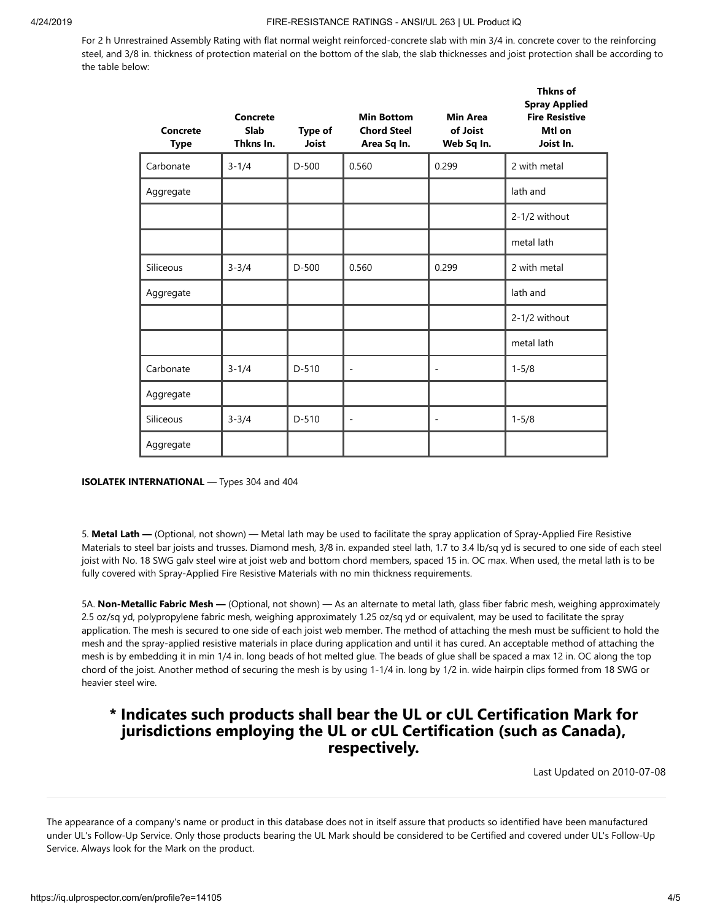For 2 h Unrestrained Assembly Rating with flat normal weight reinforced-concrete slab with min 3/4 in. concrete cover to the reinforcing steel, and 3/8 in. thickness of protection material on the bottom of the slab, the slab thicknesses and joist protection shall be according to the table below:

| Concrete<br><b>Type</b> | Concrete<br><b>Slab</b><br>Thkns In. | <b>Type of</b><br>Joist | <b>Min Bottom</b><br><b>Chord Steel</b><br>Area Sq In. | <b>Min Area</b><br>of Joist<br>Web Sq In. | <b>Thkns of</b><br><b>Spray Applied</b><br><b>Fire Resistive</b><br>Mtl on<br>Joist In. |
|-------------------------|--------------------------------------|-------------------------|--------------------------------------------------------|-------------------------------------------|-----------------------------------------------------------------------------------------|
| Carbonate               | $3 - 1/4$                            | $D-500$                 | 0.560                                                  | 0.299                                     | 2 with metal                                                                            |
| Aggregate               |                                      |                         |                                                        |                                           | lath and                                                                                |
|                         |                                      |                         |                                                        |                                           | 2-1/2 without                                                                           |
|                         |                                      |                         |                                                        |                                           | metal lath                                                                              |
| Siliceous               | $3 - 3/4$                            | $D-500$                 | 0.560                                                  | 0.299                                     | 2 with metal                                                                            |
| Aggregate               |                                      |                         |                                                        |                                           | lath and                                                                                |
|                         |                                      |                         |                                                        |                                           | 2-1/2 without                                                                           |
|                         |                                      |                         |                                                        |                                           | metal lath                                                                              |
| Carbonate               | $3 - 1/4$                            | $D-510$                 | $\overline{a}$                                         | $\overline{\phantom{0}}$                  | $1 - 5/8$                                                                               |
| Aggregate               |                                      |                         |                                                        |                                           |                                                                                         |
| Siliceous               | $3 - 3/4$                            | $D-510$                 | $\overline{a}$                                         | $\overline{\phantom{0}}$                  | $1 - 5/8$                                                                               |
| Aggregate               |                                      |                         |                                                        |                                           |                                                                                         |

#### **ISOLATEK INTERNATIONAL** — Types 304 and 404

5. **Metal Lath —** (Optional, not shown) — Metal lath may be used to facilitate the spray application of Spray-Applied Fire Resistive Materials to steel bar joists and trusses. Diamond mesh, 3/8 in. expanded steel lath, 1.7 to 3.4 lb/sq yd is secured to one side of each steel joist with No. 18 SWG galv steel wire at joist web and bottom chord members, spaced 15 in. OC max. When used, the metal lath is to be fully covered with Spray-Applied Fire Resistive Materials with no min thickness requirements.

5A. **Non-Metallic Fabric Mesh —** (Optional, not shown) — As an alternate to metal lath, glass fiber fabric mesh, weighing approximately 2.5 oz/sq yd, polypropylene fabric mesh, weighing approximately 1.25 oz/sq yd or equivalent, may be used to facilitate the spray application. The mesh is secured to one side of each joist web member. The method of attaching the mesh must be sufficient to hold the mesh and the spray-applied resistive materials in place during application and until it has cured. An acceptable method of attaching the mesh is by embedding it in min 1/4 in. long beads of hot melted glue. The beads of glue shall be spaced a max 12 in. OC along the top chord of the joist. Another method of securing the mesh is by using 1-1/4 in. long by 1/2 in. wide hairpin clips formed from 18 SWG or heavier steel wire.

## **\* Indicates such products shall bear the UL or cUL Certification Mark for jurisdictions employing the UL or cUL Certification (such as Canada), respectively.**

[Last Updated](javascript:openit() on 2010-07-08

The appearance of a company's name or product in this database does not in itself assure that products so identified have been manufactured under UL's Follow-Up Service. Only those products bearing the UL Mark should be considered to be Certified and covered under UL's Follow-Up Service. Always look for the Mark on the product.